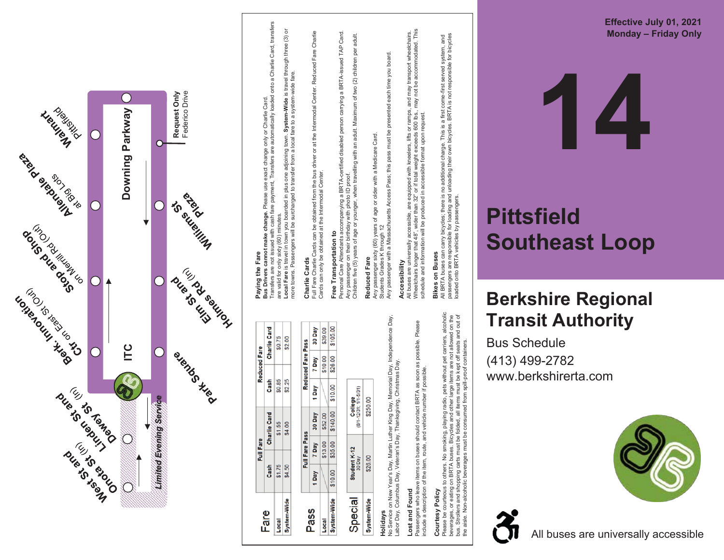

### \$105.00 30 Day \$39.00 Reduced Fare Pass 7 Day \$10.00<br>\$28.00 \$10.00 1 Day 30 Day \$140,00 \$52.00 Full Fare Pass \$13.00<br>\$35.00 7 Day \$10.00 1 Day Local<br>System-Wide System-Wide Pass

Local

Full Fare Charlie Cards can be obtained from the bus driver or at the Intermodal Center. Reduced Fare Charlie

Full Fare Charlie Cards can be obtained from the bus driver or at the Intermodal Center. Reduced Fare Charlie<br>Cards can only be obtained at the Intermodal Center.

Personal Care Attendants accompanying a BRTA-certified disabled person carrying a BRTA-issued TAP Card.

**Free Transportation to**<br>Personal Care Attendants accompanying a BRTA-certified disabled person carrying a BRTA-issued TAP Card.<br>Any passenger on their birthday with photo ID proof.<br>Children five (5) years of age or younge

Children five (5) years of age or younger, when travelling with an adult. Maximum of two (2) children per adult.

Cards can only be obtained at the Intermodal Center.

**Free Transportation to**

Any passenger on their birthday with photo ID proof.

**Reduced Fare**

Reduced Fare

Any passenger sixty (60) years of age or older with a Medicare Card.

Any passenger with a Massachusetts Access Pass; this pass must be presented each time you board.

Any passenger sixty (60) years of age or older with a Medicare Card.<br>Students Grades K through 12<br>Any passenger with a Massachusetts Access Pass; this pass must be presented each time you board.

All buses are universally accessible, are equipped with kneelers, lifts or ramps, and may transport wheelchairs. Wheelchairs longer that 48", wider than 32" or if total weight exceeds 600 lbs., may not be accommodated. This

All buses are universally accessible, are equipped with kneelers, lifts or ramps, and may transport wheelchairs.<br>Wheelchairs longer that 48", wider than 32" or if total weight exceeds 600 lbs., may not be accommodated. Thi

schedule and information will be produced in accessible format upon request.

All BRTA buses can carry bicycles; there is no additional charge. This is a first come-first served system, and passengers are responsible for loading and unloading their own bicycles. BRTA is not responsible for bicycles

**Bikes on Buses**<br>All BRTA buses can carry bicycles; there is no additional charge. This is a first come-first served system, and<br>passengers are responsible for loading and unloading their own bicycles. BRTA is not responsi

**Bikes on Buses**

loaded onto BRTA vehicles by passengers.

Students Grades K through 12

**Accessibility**

Accessibility

| \$250.00<br>tudent K-12<br>30 Day<br>\$26.00 | pecia |
|----------------------------------------------|-------|
|----------------------------------------------|-------|

**Holidays**<br>No Service on New Year's Day, Martin Luther King Day, Memorial Day, Independence Day,<br>Labor Day, Columbus Day, Veteran's Day, Thanksgiving, Christmas Day. No Service on New Year's Day, Martin Luther King Day, Memorial Day, Independence Day, Labor Day, Columbus Day, Veteran's Day, Thanksgiving, Christmas Day.

### Lost and Found **Lost and Found**

items on buses should contact BRTA as soon as possible. Please<br>the item, route, and vehicle number if possible. Passengers who leave items on buses should contact BRTA as soon as possible. Please include a description of the item, route, and vehicle number if possible. Passengers who leave item<br>include a description of the

### Courtesy Policy **Courtesy Policy**

Please be courteous to others. No smoking, playing radio, pets without pet carriers, alcoholic<br>beverages, or eating on BRTA buses. Bicycles and other large items are not allowed on the<br>bus. Strollers and shopping carts mus Please be courteous to others. No smoking, playing radio, pets without pet carriers, alcoholic bus. Strollers and shopping carts must be folded, all items must be kept off seats and out of beverages, or eating on BRTA buses. Bicycles and other large items are not allowed on the the aisle. Non-alcoholic beverages must be consumed from spill-proof containers.



Bu s S c hedule (413) 4 9 9 -2782 www.berkshirerta.com

## **Berkshire Regional T ransit Au t hority**

## **Southeast Loop**

# **Pittsfield**

**1 4**

**Eff e c tiv e July 01 , 2 0 2 1 Mo n d a y – F rid a y O nly**